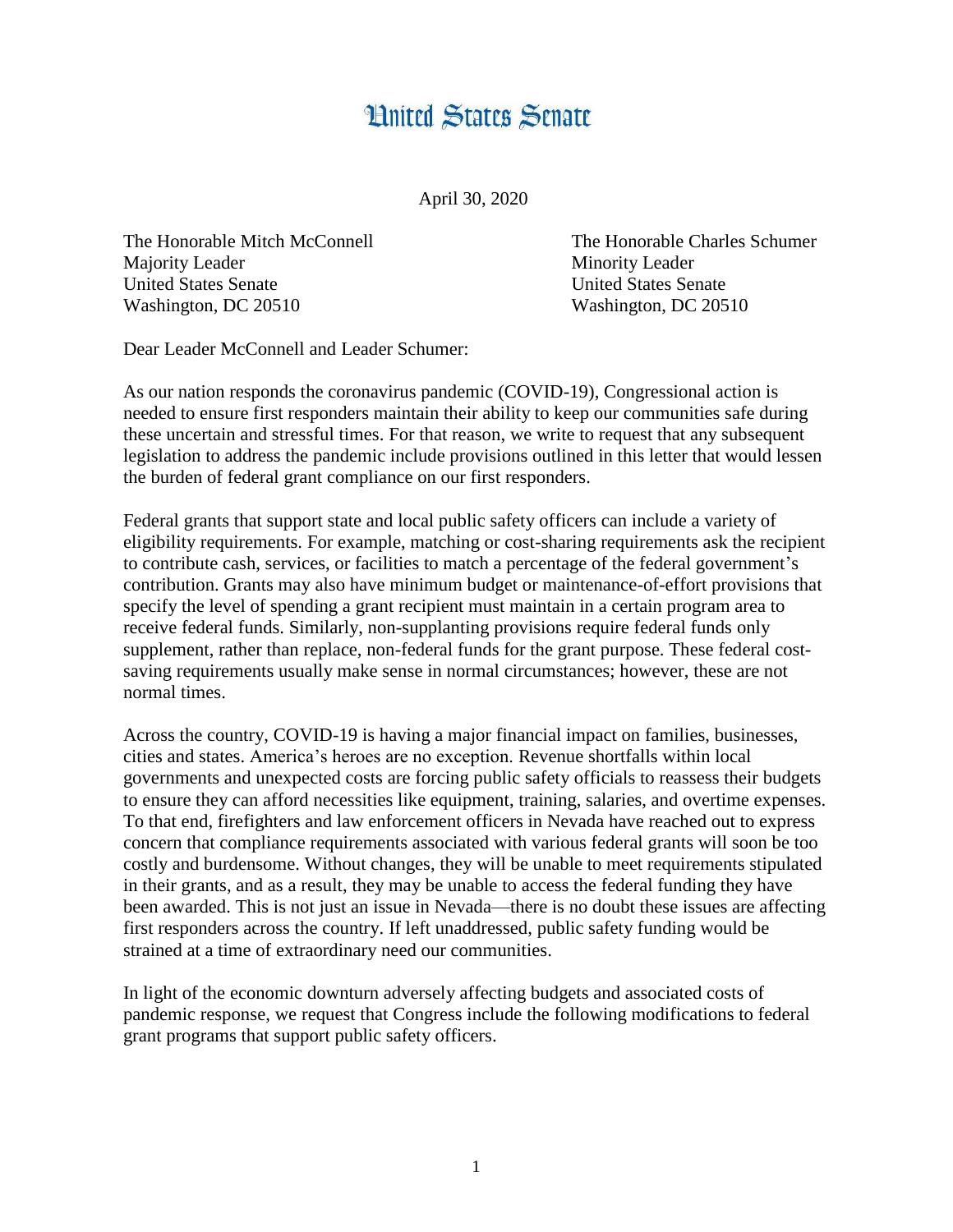## **Hnited States Senate**

April 30, 2020

The Honorable Mitch McConnell The Honorable Charles Schumer Majority Leader Minority Leader United States Senate United States Senate Washington, DC 20510 Washington, DC 20510

Dear Leader McConnell and Leader Schumer:

As our nation responds the coronavirus pandemic (COVID-19), Congressional action is needed to ensure first responders maintain their ability to keep our communities safe during these uncertain and stressful times. For that reason, we write to request that any subsequent legislation to address the pandemic include provisions outlined in this letter that would lessen the burden of federal grant compliance on our first responders.

Federal grants that support state and local public safety officers can include a variety of eligibility requirements. For example, matching or cost-sharing requirements ask the recipient to contribute cash, services, or facilities to match a percentage of the federal government's contribution. Grants may also have minimum budget or maintenance-of-effort provisions that specify the level of spending a grant recipient must maintain in a certain program area to receive federal funds. Similarly, non-supplanting provisions require federal funds only supplement, rather than replace, non-federal funds for the grant purpose. These federal costsaving requirements usually make sense in normal circumstances; however, these are not normal times.

Across the country, COVID-19 is having a major financial impact on families, businesses, cities and states. America's heroes are no exception. Revenue shortfalls within local governments and unexpected costs are forcing public safety officials to reassess their budgets to ensure they can afford necessities like equipment, training, salaries, and overtime expenses. To that end, firefighters and law enforcement officers in Nevada have reached out to express concern that compliance requirements associated with various federal grants will soon be too costly and burdensome. Without changes, they will be unable to meet requirements stipulated in their grants, and as a result, they may be unable to access the federal funding they have been awarded. This is not just an issue in Nevada—there is no doubt these issues are affecting first responders across the country. If left unaddressed, public safety funding would be strained at a time of extraordinary need our communities.

In light of the economic downturn adversely affecting budgets and associated costs of pandemic response, we request that Congress include the following modifications to federal grant programs that support public safety officers.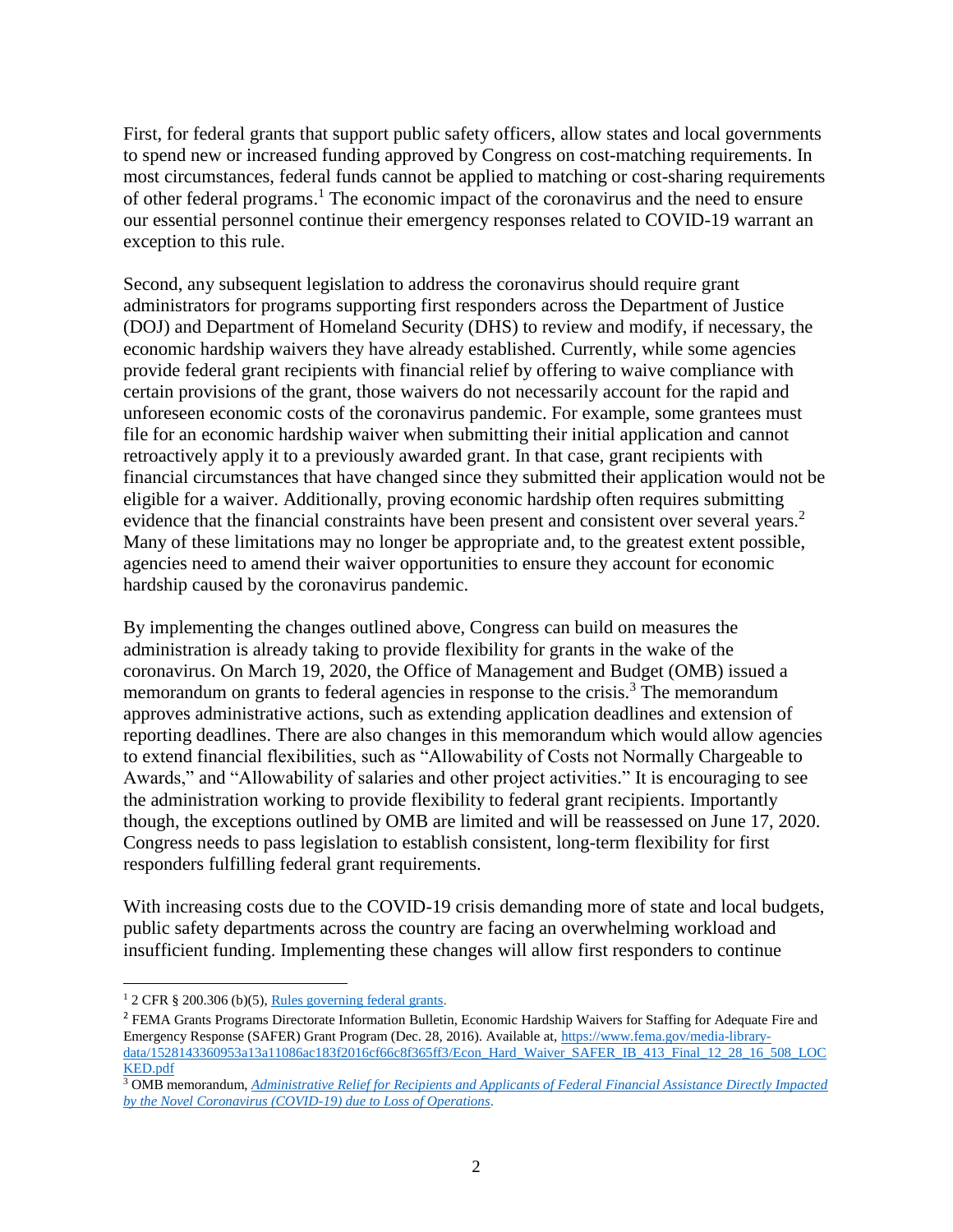First, for federal grants that support public safety officers, allow states and local governments to spend new or increased funding approved by Congress on cost-matching requirements. In most circumstances, federal funds cannot be applied to matching or cost-sharing requirements of other federal programs. <sup>1</sup> The economic impact of the coronavirus and the need to ensure our essential personnel continue their emergency responses related to COVID-19 warrant an exception to this rule.

Second, any subsequent legislation to address the coronavirus should require grant administrators for programs supporting first responders across the Department of Justice (DOJ) and Department of Homeland Security (DHS) to review and modify, if necessary, the economic hardship waivers they have already established. Currently, while some agencies provide federal grant recipients with financial relief by offering to waive compliance with certain provisions of the grant, those waivers do not necessarily account for the rapid and unforeseen economic costs of the coronavirus pandemic. For example, some grantees must file for an economic hardship waiver when submitting their initial application and cannot retroactively apply it to a previously awarded grant. In that case, grant recipients with financial circumstances that have changed since they submitted their application would not be eligible for a waiver. Additionally, proving economic hardship often requires submitting evidence that the financial constraints have been present and consistent over several years.<sup>2</sup> Many of these limitations may no longer be appropriate and, to the greatest extent possible, agencies need to amend their waiver opportunities to ensure they account for economic hardship caused by the coronavirus pandemic.

By implementing the changes outlined above, Congress can build on measures the administration is already taking to provide flexibility for grants in the wake of the coronavirus. On March 19, 2020, the Office of Management and Budget (OMB) issued a memorandum on grants to federal agencies in response to the crisis.<sup>3</sup> The memorandum approves administrative actions, such as extending application deadlines and extension of reporting deadlines. There are also changes in this memorandum which would allow agencies to extend financial flexibilities, such as "Allowability of Costs not Normally Chargeable to Awards," and "Allowability of salaries and other project activities." It is encouraging to see the administration working to provide flexibility to federal grant recipients. Importantly though, the exceptions outlined by OMB are limited and will be reassessed on June 17, 2020. Congress needs to pass legislation to establish consistent, long-term flexibility for first responders fulfilling federal grant requirements.

With increasing costs due to the COVID-19 crisis demanding more of state and local budgets, public safety departments across the country are facing an overwhelming workload and insufficient funding. Implementing these changes will allow first responders to continue

 $\overline{a}$ 

<sup>1</sup> 2 CFR § 200.306 (b)(5)[, Rules governing federal grants.](https://www.law.cornell.edu/cfr/text/2/200.306)

<sup>&</sup>lt;sup>2</sup> FEMA Grants Programs Directorate Information Bulletin, Economic Hardship Waivers for Staffing for Adequate Fire and Emergency Response (SAFER) Grant Program (Dec. 28, 2016). Available at[, https://www.fema.gov/media-library](https://www.fema.gov/media-library-data/1528143360953-a13a11086ac183f2016cf66c8f365ff3/Econ_Hard_Waiver_SAFER_IB_413_Final_12_28_16_508_LOCKED.pdf)[data/1528143360953a13a11086ac183f2016cf66c8f365ff3/Econ\\_Hard\\_Waiver\\_SAFER\\_IB\\_413\\_Final\\_12\\_28\\_16\\_508\\_LOC](https://www.fema.gov/media-library-data/1528143360953-a13a11086ac183f2016cf66c8f365ff3/Econ_Hard_Waiver_SAFER_IB_413_Final_12_28_16_508_LOCKED.pdf) [KED.pdf](https://www.fema.gov/media-library-data/1528143360953-a13a11086ac183f2016cf66c8f365ff3/Econ_Hard_Waiver_SAFER_IB_413_Final_12_28_16_508_LOCKED.pdf)

<sup>3</sup> OMB memorandum, *[Administrative Relief for Recipients and Applicants of Federal Financial Assistance Directly Impacted](https://www.whitehouse.gov/wp-content/uploads/2020/03/M-20-17.pdf)  [by the Novel Coronavirus \(COVID-19\) due to Loss of Operations](https://www.whitehouse.gov/wp-content/uploads/2020/03/M-20-17.pdf)*.